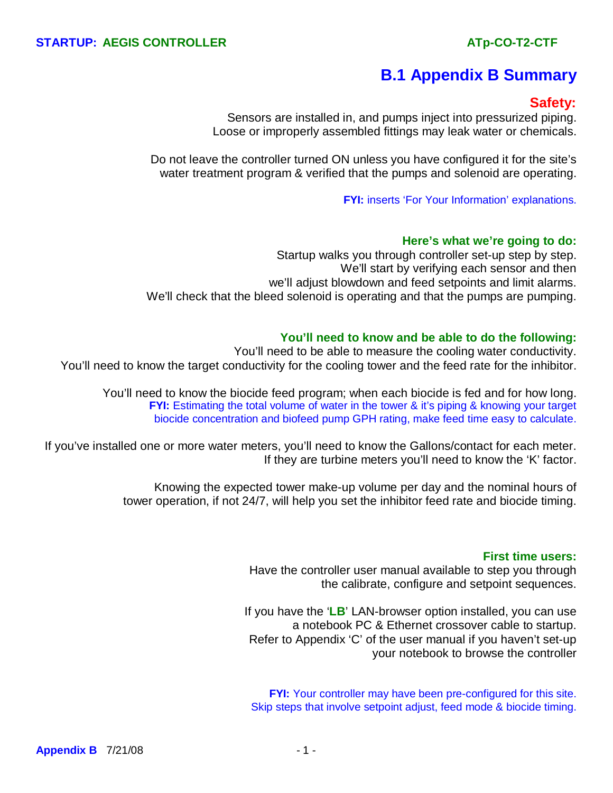# **B.1 Appendix B Summary**

## **Safety:**

Sensors are installed in, and pumps inject into pressurized piping. Loose or improperly assembled fittings may leak water or chemicals.

Do not leave the controller turned ON unless you have configured it for the site's water treatment program & verified that the pumps and solenoid are operating.

**FYI:** inserts 'For Your Information' explanations.

#### **Here's what we're going to do:**

Startup walks you through controller set-up step by step. We'll start by verifying each sensor and then we'll adjust blowdown and feed setpoints and limit alarms. We'll check that the bleed solenoid is operating and that the pumps are pumping.

#### **You'll need to know and be able to do the following:**

You'll need to be able to measure the cooling water conductivity. You'll need to know the target conductivity for the cooling tower and the feed rate for the inhibitor.

You'll need to know the biocide feed program; when each biocide is fed and for how long. **FYI:** Estimating the total volume of water in the tower & it's piping & knowing your target biocide concentration and biofeed pump GPH rating, make feed time easy to calculate.

If you've installed one or more water meters, you'll need to know the Gallons/contact for each meter. If they are turbine meters you'll need to know the 'K' factor.

> Knowing the expected tower make-up volume per day and the nominal hours of tower operation, if not 24/7, will help you set the inhibitor feed rate and biocide timing.

#### **First time users:**

Have the controller user manual available to step you through the calibrate, configure and setpoint sequences.

If you have the '**LB**' LAN-browser option installed, you can use a notebook PC & Ethernet crossover cable to startup. Refer to Appendix 'C' of the user manual if you haven't set-up your notebook to browse the controller

**FYI:** Your controller may have been pre-configured for this site. Skip steps that involve setpoint adjust, feed mode & biocide timing.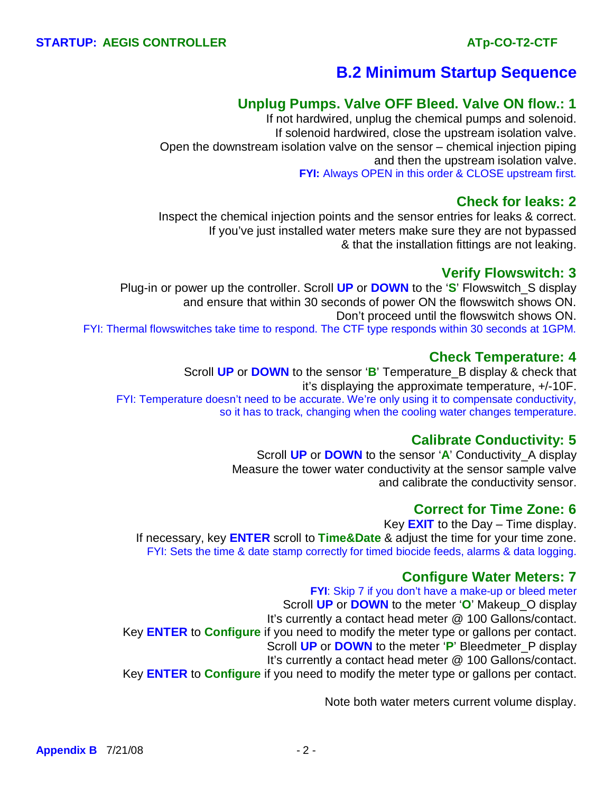# **B.2 Minimum Startup Sequence**

## **Unplug Pumps. Valve OFF Bleed. Valve ON flow.: 1**

 If not hardwired, unplug the chemical pumps and solenoid. If solenoid hardwired, close the upstream isolation valve. Open the downstream isolation valve on the sensor – chemical injection piping and then the upstream isolation valve. **FYI:** Always OPEN in this order & CLOSE upstream first.

### **Check for leaks: 2**

 Inspect the chemical injection points and the sensor entries for leaks & correct. If you've just installed water meters make sure they are not bypassed & that the installation fittings are not leaking.

## **Verify Flowswitch: 3**

 Plug-in or power up the controller. Scroll **UP** or **DOWN** to the '**S**' Flowswitch\_S display and ensure that within 30 seconds of power ON the flowswitch shows ON. Don't proceed until the flowswitch shows ON. FYI: Thermal flowswitches take time to respond. The CTF type responds within 30 seconds at 1GPM.

## **Check Temperature: 4**

 Scroll **UP** or **DOWN** to the sensor '**B**' Temperature\_B display & check that it's displaying the approximate temperature, +/-10F. FYI: Temperature doesn't need to be accurate. We're only using it to compensate conductivity, so it has to track, changing when the cooling water changes temperature.

## **Calibrate Conductivity: 5**

Scroll **UP** or **DOWN** to the sensor '**A**' Conductivity\_A display Measure the tower water conductivity at the sensor sample valve and calibrate the conductivity sensor.

## **Correct for Time Zone: 6**

 Key **EXIT** to the Day – Time display. If necessary, key **ENTER** scroll to **Time&Date** & adjust the time for your time zone. FYI: Sets the time & date stamp correctly for timed biocide feeds, alarms & data logging.

### **Configure Water Meters: 7**

**FYI:** Skip 7 if you don't have a make-up or bleed meter Scroll **UP** or **DOWN** to the meter '**O**' Makeup\_O display It's currently a contact head meter @ 100 Gallons/contact. Key **ENTER** to **Configure** if you need to modify the meter type or gallons per contact. Scroll **UP** or **DOWN** to the meter '**P**' Bleedmeter\_P display It's currently a contact head meter @ 100 Gallons/contact. Key **ENTER** to **Configure** if you need to modify the meter type or gallons per contact.

Note both water meters current volume display.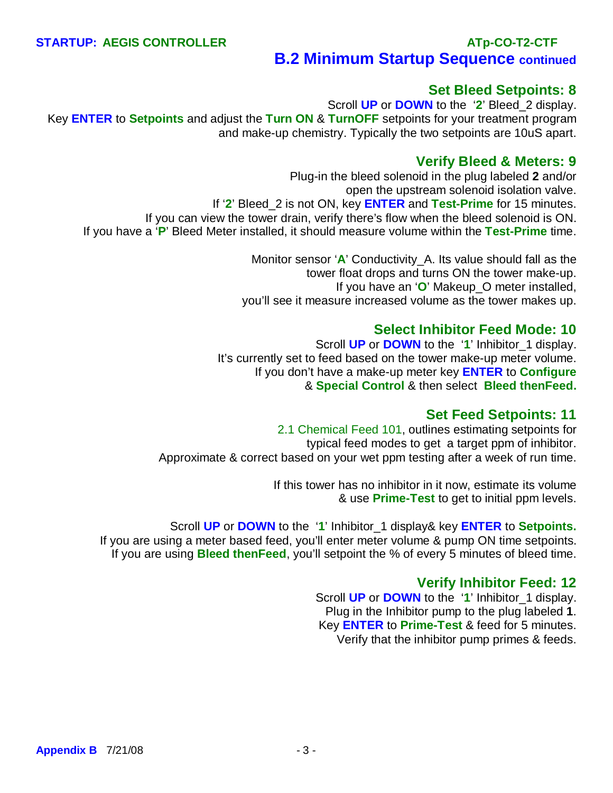# **B.2 Minimum Startup Sequence continued**

### **Set Bleed Setpoints: 8**

 Scroll **UP** or **DOWN** to the '**2**' Bleed\_2 display. Key **ENTER** to **Setpoints** and adjust the **Turn ON** & **TurnOFF** setpoints for your treatment program and make-up chemistry. Typically the two setpoints are 10uS apart.

#### **Verify Bleed & Meters: 9**

Plug-in the bleed solenoid in the plug labeled **2** and/or open the upstream solenoid isolation valve. If '**2**' Bleed\_2 is not ON, key **ENTER** and **Test-Prime** for 15 minutes. If you can view the tower drain, verify there's flow when the bleed solenoid is ON. If you have a '**P**' Bleed Meter installed, it should measure volume within the **Test-Prime** time.

> Monitor sensor '**A**' Conductivity\_A. Its value should fall as the tower float drops and turns ON the tower make-up. If you have an '**O**' Makeup\_O meter installed, you'll see it measure increased volume as the tower makes up.

#### **Select Inhibitor Feed Mode: 10**

 Scroll **UP** or **DOWN** to the '**1**' Inhibitor\_1 display. It's currently set to feed based on the tower make-up meter volume. If you don't have a make-up meter key **ENTER** to **Configure** & **Special Control** & then select **Bleed thenFeed.**

#### **Set Feed Setpoints: 11**

2.1 Chemical Feed 101, outlines estimating setpoints for typical feed modes to get a target ppm of inhibitor. Approximate & correct based on your wet ppm testing after a week of run time.

> If this tower has no inhibitor in it now, estimate its volume & use **Prime-Test** to get to initial ppm levels.

Scroll **UP** or **DOWN** to the '**1**' Inhibitor\_1 display& key **ENTER** to **Setpoints.** If you are using a meter based feed, you'll enter meter volume & pump ON time setpoints. If you are using **Bleed thenFeed**, you'll setpoint the % of every 5 minutes of bleed time.

### **Verify Inhibitor Feed: 12**

 Scroll **UP** or **DOWN** to the '**1**' Inhibitor\_1 display. Plug in the Inhibitor pump to the plug labeled **1**. Key **ENTER** to **Prime-Test** & feed for 5 minutes. Verify that the inhibitor pump primes & feeds.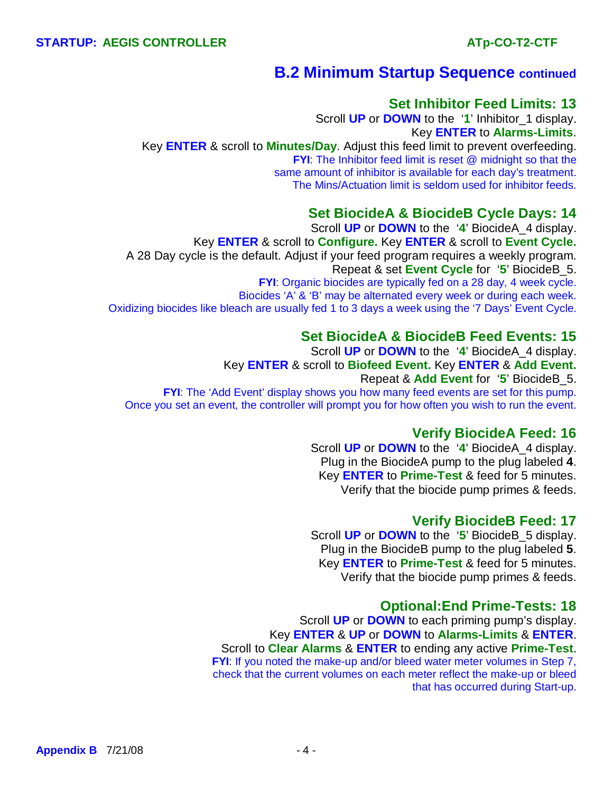## **B.2 Minimum Startup Sequence continued**

#### **Set Inhibitor Feed Limits: 13**

 Scroll **UP** or **DOWN** to the '**1**' Inhibitor\_1 display. Key **ENTER** to **Alarms-Limits**. Key **ENTER** & scroll to **Minutes/Day**. Adjust this feed limit to prevent overfeeding. **FYI:** The Inhibitor feed limit is reset @ midnight so that the same amount of inhibitor is available for each day's treatment. The Mins/Actuation limit is seldom used for inhibitor feeds.

## **Set BiocideA & BiocideB Cycle Days: 14**

 Scroll **UP** or **DOWN** to the '**4**' BiocideA\_4 display. Key **ENTER** & scroll to **Configure.** Key **ENTER** & scroll to **Event Cycle.** A 28 Day cycle is the default. Adjust if your feed program requires a weekly program. Repeat & set **Event Cycle** for '**5**' BiocideB\_5. **FYI**: Organic biocides are typically fed on a 28 day, 4 week cycle. Biocides 'A' & 'B' may be alternated every week or during each week. Oxidizing biocides like bleach are usually fed 1 to 3 days a week using the '7 Days' Event Cycle.

#### **Set BiocideA & BiocideB Feed Events: 15**

 Scroll **UP** or **DOWN** to the '**4**' BiocideA\_4 display. Key **ENTER** & scroll to **Biofeed Event.** Key **ENTER** & **Add Event.** Repeat & **Add Event** for '**5**' BiocideB\_5. **FYI:** The 'Add Event' display shows you how many feed events are set for this pump. Once you set an event, the controller will prompt you for how often you wish to run the event.

### **Verify BiocideA Feed: 16**

 Scroll **UP** or **DOWN** to the '**4**' BiocideA\_4 display. Plug in the BiocideA pump to the plug labeled **4**. Key **ENTER** to **Prime-Test** & feed for 5 minutes. Verify that the biocide pump primes & feeds.

#### **Verify BiocideB Feed: 17**

Scroll **UP** or **DOWN** to the '**5**' BiocideB\_5 display. Plug in the BiocideB pump to the plug labeled **5**. Key **ENTER** to **Prime-Test** & feed for 5 minutes. Verify that the biocide pump primes & feeds.

#### **Optional:End Prime-Tests: 18**

Scroll **UP** or **DOWN** to each priming pump's display. Key **ENTER** & **UP** or **DOWN** to **Alarms-Limits** & **ENTER**. Scroll to **Clear Alarms** & **ENTER** to ending any active **Prime-Test**. **FYI**: If you noted the make-up and/or bleed water meter volumes in Step 7, check that the current volumes on each meter reflect the make-up or bleed that has occurred during Start-up.